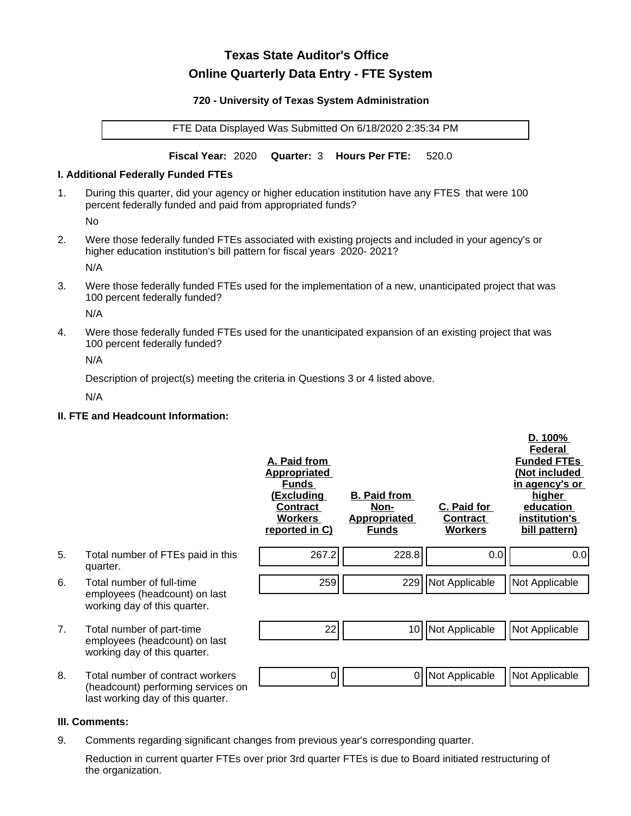# **Texas State Auditor's Office Online Quarterly Data Entry - FTE System**

#### **720 - University of Texas System Administration**

FTE Data Displayed Was Submitted On 6/18/2020 2:35:34 PM

**Fiscal Year:** 2020 **Quarter:** 3 **Hours Per FTE:** 520.0

### **I. Additional Federally Funded FTEs**

1. During this quarter, did your agency or higher education institution have any FTES that were 100 percent federally funded and paid from appropriated funds?

No

2. Were those federally funded FTEs associated with existing projects and included in your agency's or higher education institution's bill pattern for fiscal years 2020- 2021?

N/A

3. Were those federally funded FTEs used for the implementation of a new, unanticipated project that was 100 percent federally funded?

N/A

4. Were those federally funded FTEs used for the unanticipated expansion of an existing project that was 100 percent federally funded?

N/A

Description of project(s) meeting the criteria in Questions 3 or 4 listed above.

N/A

# **II. FTE and Headcount Information:**

|    |                                                                                                             | A. Paid from<br><b>Appropriated</b><br><b>Funds</b><br><u>(Excluding</u><br><b>Contract</b><br><b>Workers</b><br>reported in C) | <b>B. Paid from</b><br>Non-<br><b>Appropriated</b><br><b>Funds</b> | C. Paid for<br>Contract<br><b>Workers</b> | D. 100%<br>Federal<br><b>Funded FTEs</b><br>(Not included<br>in agency's or<br>higher<br>education<br>institution's<br>bill pattern) |
|----|-------------------------------------------------------------------------------------------------------------|---------------------------------------------------------------------------------------------------------------------------------|--------------------------------------------------------------------|-------------------------------------------|--------------------------------------------------------------------------------------------------------------------------------------|
| 5. | Total number of FTEs paid in this<br>quarter.                                                               | 267.2                                                                                                                           | 228.8                                                              | 0.0                                       | 0.0                                                                                                                                  |
| 6. | Total number of full-time<br>employees (headcount) on last<br>working day of this quarter.                  | 259                                                                                                                             | 229                                                                | Not Applicable                            | Not Applicable                                                                                                                       |
| 7. | Total number of part-time<br>employees (headcount) on last<br>working day of this quarter.                  | 22                                                                                                                              | 10 <sup>1</sup>                                                    | Not Applicable                            | Not Applicable                                                                                                                       |
| 8. | Total number of contract workers<br>(headcount) performing services on<br>last working day of this quarter. | 0                                                                                                                               | 0                                                                  | Not Applicable                            | Not Applicable                                                                                                                       |

#### **III. Comments:**

9. Comments regarding significant changes from previous year's corresponding quarter.

Reduction in current quarter FTEs over prior 3rd quarter FTEs is due to Board initiated restructuring of the organization.